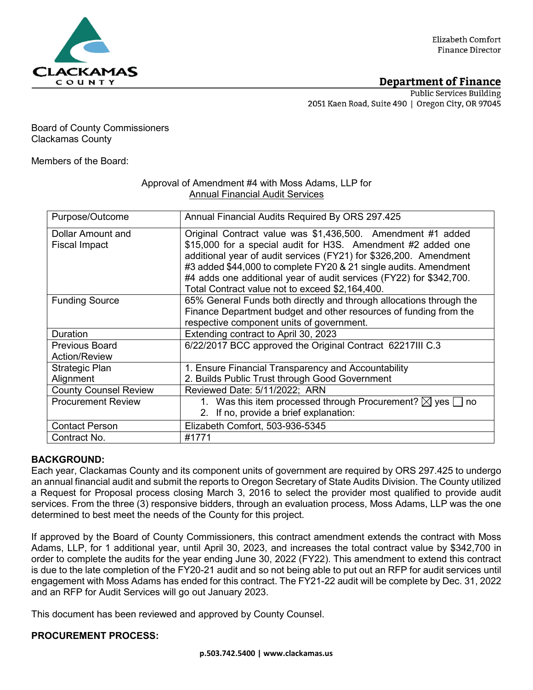

# Department of Finance

**Public Services Building** 2051 Kaen Road, Suite 490 | Oregon City, OR 97045

## Board of County Commissioners Clackamas County

Members of the Board:

## Approval of Amendment #4 with Moss Adams, LLP for Annual Financial Audit Services

| Purpose/Outcome              | Annual Financial Audits Required By ORS 297.425                         |
|------------------------------|-------------------------------------------------------------------------|
| Dollar Amount and            | Original Contract value was \$1,436,500. Amendment #1 added             |
| <b>Fiscal Impact</b>         | \$15,000 for a special audit for H3S. Amendment #2 added one            |
|                              | additional year of audit services (FY21) for \$326,200. Amendment       |
|                              | #3 added \$44,000 to complete FY20 & 21 single audits. Amendment        |
|                              | #4 adds one additional year of audit services (FY22) for \$342,700.     |
|                              |                                                                         |
|                              | Total Contract value not to exceed \$2,164,400.                         |
| <b>Funding Source</b>        | 65% General Funds both directly and through allocations through the     |
|                              | Finance Department budget and other resources of funding from the       |
|                              | respective component units of government.                               |
| <b>Duration</b>              | Extending contract to April 30, 2023                                    |
| <b>Previous Board</b>        | 6/22/2017 BCC approved the Original Contract 62217III C.3               |
| <b>Action/Review</b>         |                                                                         |
| Strategic Plan               | 1. Ensure Financial Transparency and Accountability                     |
| Alignment                    | 2. Builds Public Trust through Good Government                          |
| <b>County Counsel Review</b> | Reviewed Date: 5/11/2022; ARN                                           |
| <b>Procurement Review</b>    | 1. Was this item processed through Procurement? $\boxtimes$ yes  <br>no |
|                              | 2. If no, provide a brief explanation:                                  |
| <b>Contact Person</b>        | Elizabeth Comfort, 503-936-5345                                         |
| Contract No.                 | #1771                                                                   |

## **BACKGROUND:**

Each year, Clackamas County and its component units of government are required by ORS 297.425 to undergo an annual financial audit and submit the reports to Oregon Secretary of State Audits Division. The County utilized a Request for Proposal process closing March 3, 2016 to select the provider most qualified to provide audit services. From the three (3) responsive bidders, through an evaluation process, Moss Adams, LLP was the one determined to best meet the needs of the County for this project.

If approved by the Board of County Commissioners, this contract amendment extends the contract with Moss Adams, LLP, for 1 additional year, until April 30, 2023, and increases the total contract value by \$342,700 in order to complete the audits for the year ending June 30, 2022 (FY22). This amendment to extend this contract is due to the late completion of the FY20-21 audit and so not being able to put out an RFP for audit services until engagement with Moss Adams has ended for this contract. The FY21-22 audit will be complete by Dec. 31, 2022 and an RFP for Audit Services will go out January 2023.

This document has been reviewed and approved by County Counsel.

# **PROCUREMENT PROCESS:**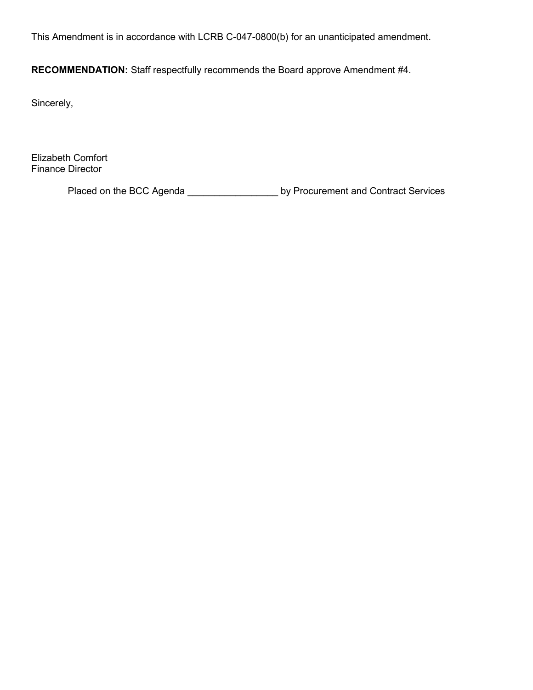This Amendment is in accordance with LCRB C-047-0800(b) for an unanticipated amendment.

**RECOMMENDATION:** Staff respectfully recommends the Board approve Amendment #4.

Sincerely,

Elizabeth Comfort Finance Director

Placed on the BCC Agenda \_\_\_\_\_\_\_\_\_\_\_\_\_\_\_\_\_\_\_\_\_ by Procurement and Contract Services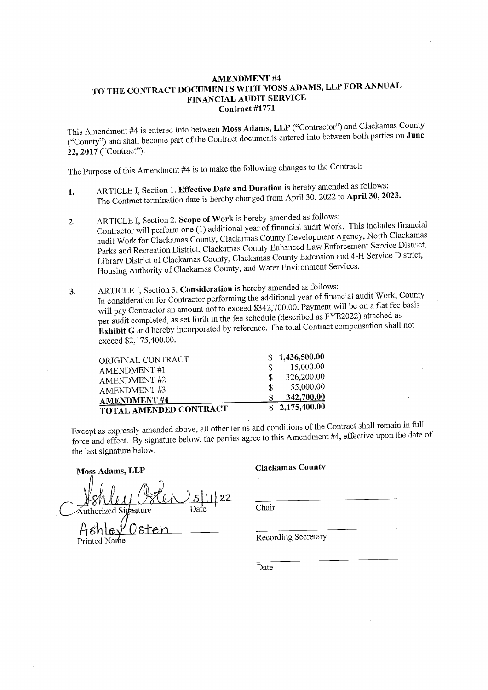### **AMENDMENT #4** TO THE CONTRACT DOCUMENTS WITH MOSS ADAMS, LLP FOR ANNUAL **FINANCIAL AUDIT SERVICE** Contract #1771

This Amendment #4 is entered into between Moss Adams, LLP ("Contractor") and Clackamas County ("County") and shall become part of the Contract documents entered into between both parties on June 22, 2017 ("Contract").

The Purpose of this Amendment #4 is to make the following changes to the Contract:

- ARTICLE I, Section 1. Effective Date and Duration is hereby amended as follows: 1. The Contract termination date is hereby changed from April 30, 2022 to April 30, 2023.
- ARTICLE I, Section 2. Scope of Work is hereby amended as follows:  $2.$ Contractor will perform one (1) additional year of financial audit Work. This includes financial audit Work for Clackamas County, Clackamas County Development Agency, North Clackamas Parks and Recreation District, Clackamas County Enhanced Law Enforcement Service District, Library District of Clackamas County, Clackamas County Extension and 4-H Service District, Housing Authority of Clackamas County, and Water Environment Services.
- ARTICLE I, Section 3. Consideration is hereby amended as follows: 3. In consideration for Contractor performing the additional year of financial audit Work, County will pay Contractor an amount not to exceed \$342,700.00. Payment will be on a flat fee basis per audit completed, as set forth in the fee schedule (described as FYE2022) attached as Exhibit G and hereby incorporated by reference. The total Contract compensation shall not exceed \$2,175,400.00.

| ORIGINAL CONTRACT             |   | \$1,436,500.00 |
|-------------------------------|---|----------------|
| AMENDMENT #1                  |   | 15,000.00      |
| <b>AMENDMENT #2</b>           | S | 326,200.00     |
| <b>AMENDMENT#3</b>            | S | 55,000.00      |
| <b>AMENDMENT #4</b>           |   | 342,700.00     |
| <b>TOTAL AMENDED CONTRACT</b> |   | \$2,175,400.00 |

Except as expressly amended above, all other terms and conditions of the Contract shall remain in full force and effect. By signature below, the parties agree to this Amendment #4, effective upon the date of the last signature below.

Moss Adams, LLP

### **Clackamas County**

Chair

**Recording Secretary** 

Date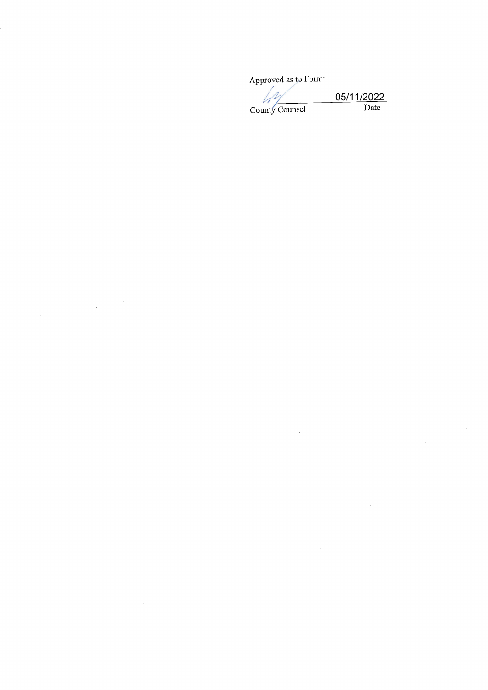Approved as to Form:

County Counsel

05/11/2022<br>Date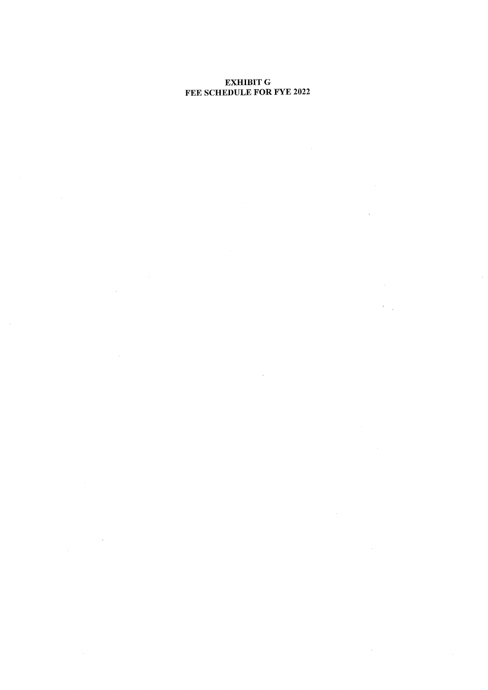# **EXHIBIT G<br>FEE SCHEDULE FOR FYE 2022**

 $\sim$   $\sim$ 

 $\sim$ 

 $\mathcal{L}^{\text{max}}_{\text{max}}$ 

 $\sim$ 

 $\sim 10$ 

 $\sim$ 

 $\hat{\mathcal{A}}$ 

 $\sim$ 

 $\bar{\tau}$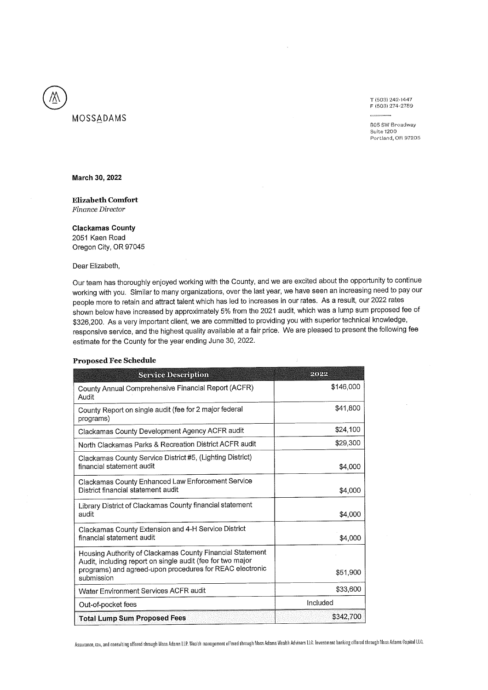T (503) 242-1447 F (503) 274-2789

805 SW Broadway Suite 1200 Portland, OR 97205

#### March 30, 2022

MOSSADAMS

### **Elizabeth Comfort** Finance Director

### **Clackamas County**

2051 Kaen Road Oregon City, OR 97045

Dear Elizabeth,

Our team has thoroughly enjoyed working with the County, and we are excited about the opportunity to continue working with you. Similar to many organizations, over the last year, we have seen an increasing need to pay our people more to retain and attract talent which has led to increases in our rates. As a result, our 2022 rates shown below have increased by approximately 5% from the 2021 audit, which was a lump sum proposed fee of \$326,200. As a very important client, we are committed to providing you with superior technical knowledge, responsive service, and the highest quality available at a fair price. We are pleased to present the following fee estimate for the County for the year ending June 30, 2022.

### **Proposed Fee Schedule**

| <b>Service Description</b>                                                                                                           | थिरिके    |
|--------------------------------------------------------------------------------------------------------------------------------------|-----------|
| County Annual Comprehensive Financial Report (ACFR)<br>Audit                                                                         | \$146,000 |
| County Report on single audit (fee for 2 major federal<br>programs)                                                                  | \$41,800  |
| Clackamas County Development Agency ACFR audit                                                                                       | \$24,100  |
| North Clackamas Parks & Recreation District ACFR audit                                                                               | \$29,300  |
| Clackamas County Service District #5, (Lighting District)<br>financial statement audit                                               | \$4,000   |
| Clackamas County Enhanced Law Enforcement Service<br>District financial statement audit                                              | \$4,000   |
| Library District of Clackamas County financial statement<br>audit                                                                    | \$4,000   |
| Clackamas County Extension and 4-H Service District<br>financial statement audit                                                     | \$4,000   |
| Housing Authority of Clackamas County Financial Statement                                                                            |           |
| Audit, including report on single audit (fee for two major<br>programs) and agreed-upon procedures for REAC electronic<br>submission | \$51,900  |
| Water Environment Services ACFR audit                                                                                                | \$33,600  |
| Out-of-pocket fees                                                                                                                   | Included  |
| <b>Total Lump Sum Proposed Fees</b>                                                                                                  | \$342,700 |

Assurance, tax, and consulting offered through Moss Adams LLP. Wealth management offered through Moss Adams Wealth Advisors LLC. Investment banking offered through Moss Adams Capital LLC,